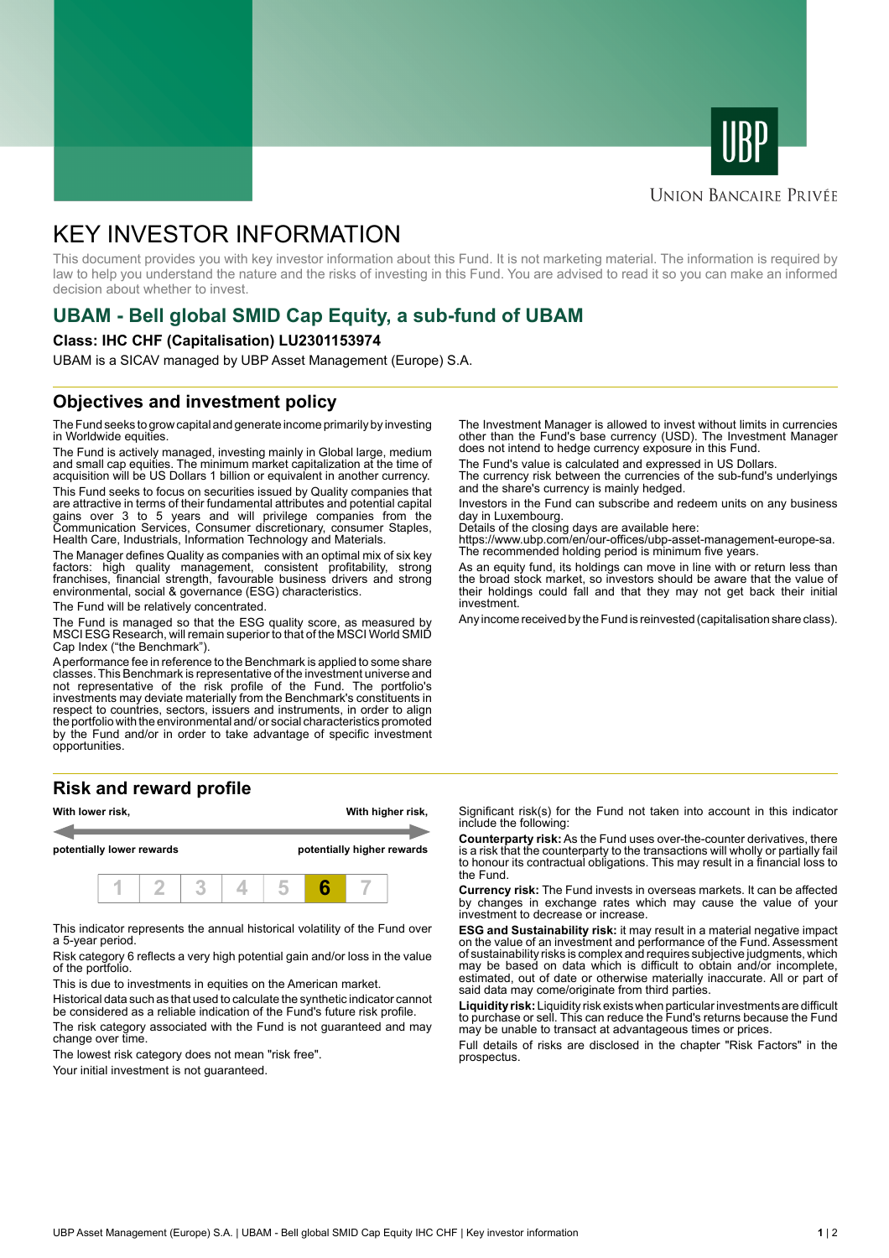



# **UNION BANCAIRE PRIVÉE**

# KEY INVESTOR INFORMATION

This document provides you with key investor information about this Fund. It is not marketing material. The information is required by law to help you understand the nature and the risks of investing in this Fund. You are advised to read it so you can make an informed decision about whether to invest.

# **UBAM - Bell global SMID Cap Equity, a sub-fund of UBAM**

### **Class: IHC CHF (Capitalisation) LU2301153974**

UBAM is a SICAV managed by UBP Asset Management (Europe) S.A.

# **Objectives and investment policy**

The Fund seeks to grow capital and generate income primarily by investing in Worldwide equities.

The Fund is actively managed, investing mainly in Global large, medium and small cap equities. The minimum market capitalization at the time of acquisition will be US Dollars 1 billion or equivalent in another currency.

This Fund seeks to focus on securities issued by Quality companies that are attractive in terms of their fundamental attributes and potential capital gains over 3 to 5 years and will privilege companies from the Communication Services, Consumer discretionary, consumer Staples, Health Care, Industrials, Information Technology and Materials.

The Manager defines Quality as companies with an optimal mix of six key factors: high quality management, consistent profitability, strong franchises, financial strength, favourable business drivers and strong environmental, social & governance (ESG) characteristics.

The Fund will be relatively concentrated.

The Fund is managed so that the ESG quality score, as measured by MSCI ESG Research, will remain superior to that of the MSCI World SMID Cap Index ("the Benchmark").

A performance fee in reference to the Benchmark is applied to some share classes. This Benchmark is representative of the investment universe and not representative of the risk profile of the Fund. The portfolio's investments may deviate materially from the Benchmark's constituents in respect to countries, sectors, issuers and instruments, in order to align the portfolio with the environmental and/ or social characteristics promoted by the Fund and/or in order to take advantage of specific investment opportunities.

# **Risk and reward profile**



This indicator represents the annual historical volatility of the Fund over a 5-year period.

Risk category 6 reflects a very high potential gain and/or loss in the value of the portfolio.

This is due to investments in equities on the American market.

Historical data such as that used to calculate the synthetic indicator cannot be considered as a reliable indication of the Fund's future risk profile.

The risk category associated with the Fund is not guaranteed and may change over time.

The lowest risk category does not mean "risk free".

Your initial investment is not quaranteed.

The Investment Manager is allowed to invest without limits in currencies other than the Fund's base currency (USD). The Investment Manager does not intend to hedge currency exposure in this Fund.

The Fund's value is calculated and expressed in US Dollars.

The currency risk between the currencies of the sub-fund's underlyings and the share's currency is mainly hedged.

Investors in the Fund can subscribe and redeem units on any business day in Luxembourg.

Details of the closing days are available here:

https://www.ubp.com/en/our-offices/ubp-asset-management-europe-sa. The recommended holding period is minimum five years.

As an equity fund, its holdings can move in line with or return less than the broad stock market, so investors should be aware that the value of their holdings could fall and that they may not get back their initial investment.

Any income received by the Fund is reinvested (capitalisation share class).

Significant risk(s) for the Fund not taken into account in this indicator include the following:

**Counterparty risk:** As the Fund uses over-the-counter derivatives, there is a risk that the counterparty to the transactions will wholly or partially fail to honour its contractual obligations. This may result in a financial loss to the Fund.

**Currency risk:** The Fund invests in overseas markets. It can be affected by changes in exchange rates which may cause the value of your investment to decrease or increase.

**ESG and Sustainability risk:** it may result in a material negative impact on the value of an investment and performance of the Fund. Assessment of sustainability risks is complex and requires subjective judgments, which may be based on data which is difficult to obtain and/or incomplete, estimated, out of date or otherwise materially inaccurate. All or part of said data may come/originate from third parties.

**Liquidity risk:** Liquidity risk exists when particular investments are difficult to purchase or sell. This can reduce the Fund's returns because the Fund may be unable to transact at advantageous times or prices.

Full details of risks are disclosed in the chapter "Risk Factors" in the prospectus.